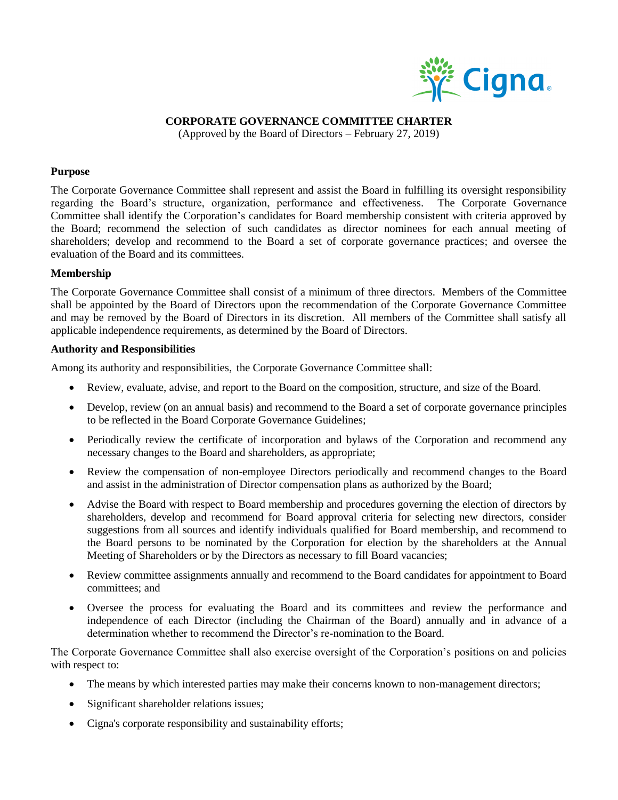

## **CORPORATE GOVERNANCE COMMITTEE CHARTER**

(Approved by the Board of Directors – February 27, 2019)

#### **Purpose**

The Corporate Governance Committee shall represent and assist the Board in fulfilling its oversight responsibility regarding the Board's structure, organization, performance and effectiveness. The Corporate Governance Committee shall identify the Corporation's candidates for Board membership consistent with criteria approved by the Board; recommend the selection of such candidates as director nominees for each annual meeting of shareholders; develop and recommend to the Board a set of corporate governance practices; and oversee the evaluation of the Board and its committees.

### **Membership**

The Corporate Governance Committee shall consist of a minimum of three directors. Members of the Committee shall be appointed by the Board of Directors upon the recommendation of the Corporate Governance Committee and may be removed by the Board of Directors in its discretion. All members of the Committee shall satisfy all applicable independence requirements, as determined by the Board of Directors.

### **Authority and Responsibilities**

Among its authority and responsibilities, the Corporate Governance Committee shall:

- Review, evaluate, advise, and report to the Board on the composition, structure, and size of the Board.
- Develop, review (on an annual basis) and recommend to the Board a set of corporate governance principles to be reflected in the Board Corporate Governance Guidelines;
- Periodically review the certificate of incorporation and bylaws of the Corporation and recommend any necessary changes to the Board and shareholders, as appropriate;
- Review the compensation of non-employee Directors periodically and recommend changes to the Board and assist in the administration of Director compensation plans as authorized by the Board;
- Advise the Board with respect to Board membership and procedures governing the election of directors by shareholders, develop and recommend for Board approval criteria for selecting new directors, consider suggestions from all sources and identify individuals qualified for Board membership, and recommend to the Board persons to be nominated by the Corporation for election by the shareholders at the Annual Meeting of Shareholders or by the Directors as necessary to fill Board vacancies;
- Review committee assignments annually and recommend to the Board candidates for appointment to Board committees; and
- Oversee the process for evaluating the Board and its committees and review the performance and independence of each Director (including the Chairman of the Board) annually and in advance of a determination whether to recommend the Director's re-nomination to the Board.

The Corporate Governance Committee shall also exercise oversight of the Corporation's positions on and policies with respect to:

- The means by which interested parties may make their concerns known to non-management directors;
- Significant shareholder relations issues;
- Cigna's corporate responsibility and sustainability efforts;